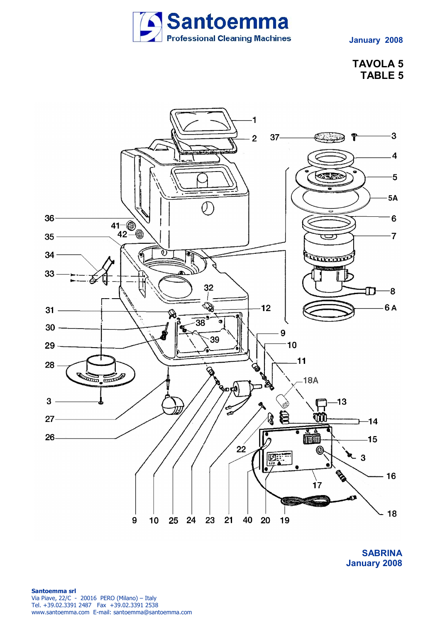

## **TAVOLA 5 TABLE 5**



**SABRINA January 2008**